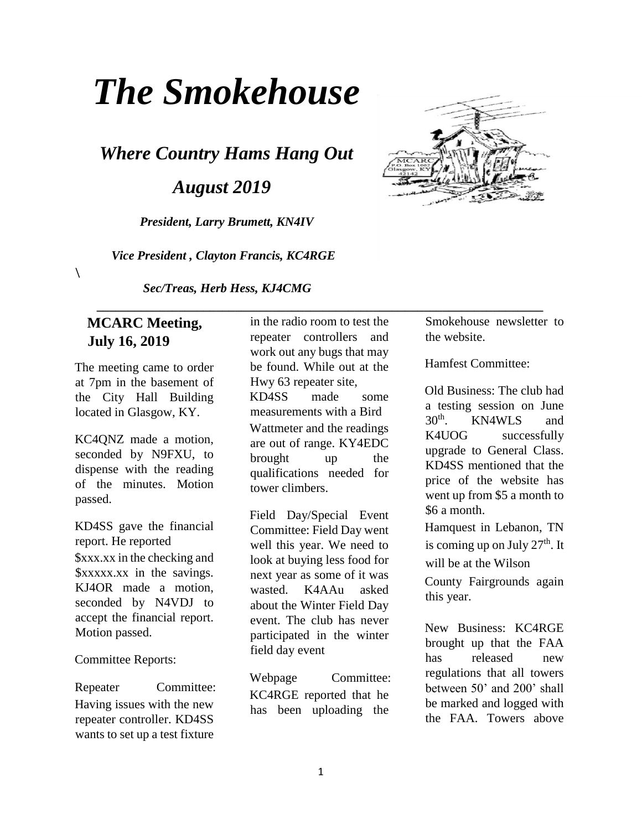# *The Smokehouse*

*Where Country Hams Hang Out* 

 *August 2019* 

*President, Larry Brumett, KN4IV* 

 *Vice President , Clayton Francis, KC4RGE* 

*Sec/Treas, Herb Hess, KJ4CMG* 

#### **MCARC Meeting, July 16, 2019**

 $\lambda$ 

The meeting came to order at 7pm in the basement of the City Hall Building located in Glasgow, KY.

KC4QNZ made a motion, seconded by N9FXU, to dispense with the reading of the minutes. Motion passed.

KD4SS gave the financial report. He reported \$xxx.xx in the checking and \$xxxxx.xx in the savings. KJ4OR made a motion, seconded by N4VDJ to accept the financial report. Motion passed.

Committee Reports:

Repeater Committee: Having issues with the new repeater controller. KD4SS wants to set up a test fixture

in the radio room to test the repeater controllers and work out any bugs that may be found. While out at the Hwy 63 repeater site, KD4SS made some measurements with a Bird Wattmeter and the readings are out of range. KY4EDC brought up the qualifications needed for tower climbers.

 **\_\_\_\_\_\_\_\_\_\_\_\_\_\_\_\_\_\_\_\_\_\_\_\_\_\_\_\_\_\_\_\_\_\_\_\_\_\_\_\_\_\_\_\_\_\_\_\_\_\_\_\_\_\_\_\_\_\_\_\_\_\_\_\_\_\_\_\_\_\_\_** 

Field Day/Special Event Committee: Field Day went well this year. We need to look at buying less food for next year as some of it was wasted. K4AAu asked about the Winter Field Day event. The club has never participated in the winter field day event

Webpage Committee: KC4RGE reported that he has been uploading the



Smokehouse newsletter to the website.

Hamfest Committee:

Old Business: The club had a testing session on June 30th. KN4WLS and K4UOG successfully upgrade to General Class. KD4SS mentioned that the price of the website has went up from \$5 a month to \$6 a month.

Hamquest in Lebanon, TN is coming up on July  $27<sup>th</sup>$ . It will be at the Wilson

County Fairgrounds again this year.

New Business: KC4RGE brought up that the FAA has released new regulations that all towers between 50' and 200' shall be marked and logged with the FAA. Towers above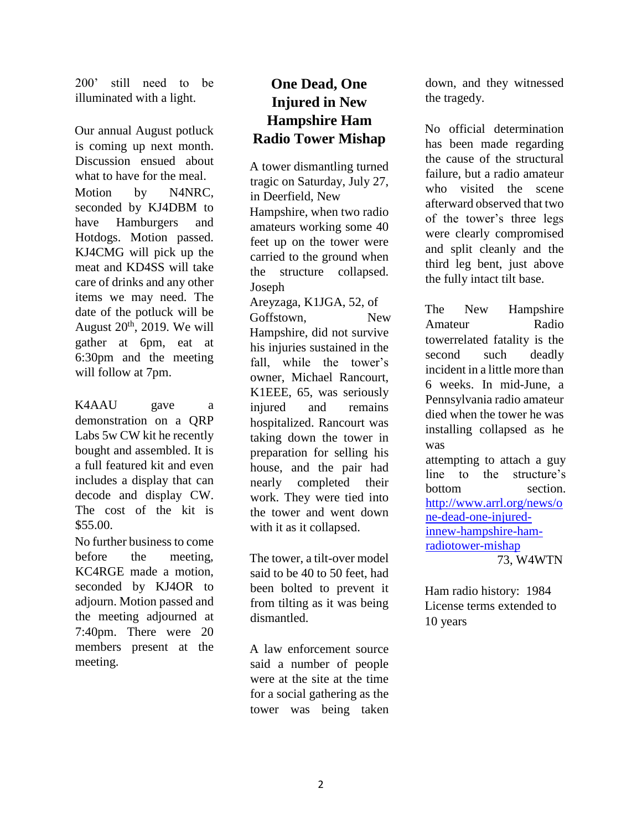200' still need to be illuminated with a light.

Our annual August potluck is coming up next month. Discussion ensued about what to have for the meal. Motion by N4NRC, seconded by KJ4DBM to have Hamburgers and Hotdogs. Motion passed. KJ4CMG will pick up the meat and KD4SS will take care of drinks and any other items we may need. The date of the potluck will be August  $20^{th}$ , 2019. We will gather at 6pm, eat at 6:30pm and the meeting will follow at 7pm.

K4AAU gave a demonstration on a QRP Labs 5w CW kit he recently bought and assembled. It is a full featured kit and even includes a display that can decode and display CW. The cost of the kit is \$55.00.

No further business to come before the meeting, KC4RGE made a motion, seconded by KJ4OR to adjourn. Motion passed and the meeting adjourned at 7:40pm. There were 20 members present at the meeting.

# **One Dead, One Injured in New Hampshire Ham Radio Tower Mishap**

A tower dismantling turned tragic on Saturday, July 27, in Deerfield, New Hampshire, when two radio amateurs working some 40 feet up on the tower were carried to the ground when the structure collapsed. Joseph Areyzaga, K1JGA, 52, of Goffstown, New Hampshire, did not survive his injuries sustained in the fall, while the tower's owner, Michael Rancourt, K1EEE, 65, was seriously injured and remains hospitalized. Rancourt was taking down the tower in preparation for selling his house, and the pair had nearly completed their

work. They were tied into the tower and went down with it as it collapsed.

The tower, a tilt-over model said to be 40 to 50 feet, had been bolted to prevent it from tilting as it was being dismantled.

A law enforcement source said a number of people were at the site at the time for a social gathering as the tower was being taken down, and they witnessed the tragedy.

No official determination has been made regarding the cause of the structural failure, but a radio amateur who visited the scene afterward observed that two of the tower's three legs were clearly compromised and split cleanly and the third leg bent, just above the fully intact tilt base.

The New Hampshire Amateur Radio towerrelated fatality is the second such deadly incident in a little more than 6 weeks. In mid-June, a Pennsylvania radio amateur died when the tower he was installing collapsed as he was attempting to attach a guy line to the structure's bottom section. http://www.arrl.org/news/o ne-dead-one-injuredinnew-hampshire-hamradiotower-mishap 73, W4WTN

Ham radio history: 1984 License terms extended to 10 years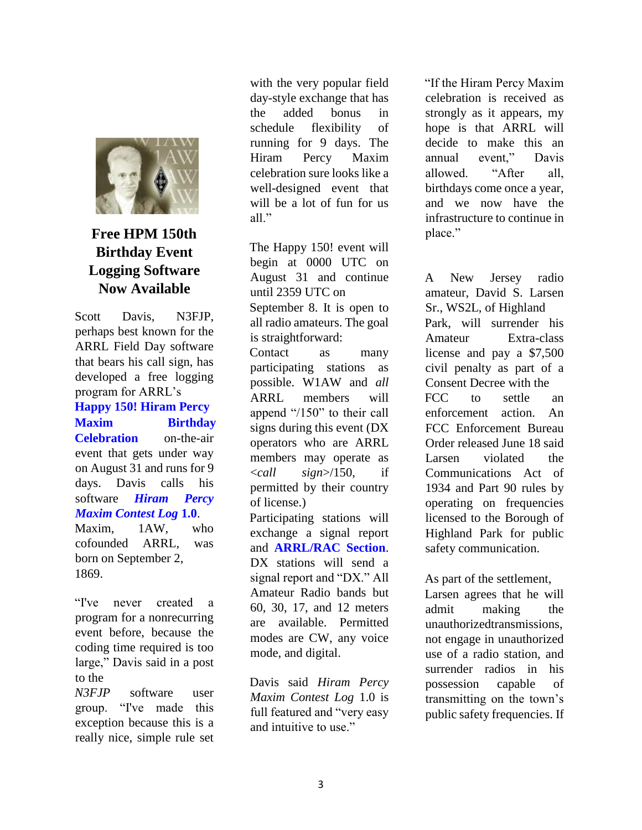

### **Free HPM 150th Birthday Event Logging Software Now Available**

Scott Davis, N3FJP, perhaps best known for the ARRL Field Day software that bears his call sign, has developed a free logging program for ARRL's **Happy 150! Hiram Percy Maxim Birthday Celebration** on-the-air event that gets under way on August 31 and runs for 9 days. Davis calls his software *Hiram Percy Maxim Contest Log* **1.0**. Maxim, 1AW, who

cofounded ARRL, was born on September 2, 1869.

"I've never created a program for a nonrecurring event before, because the coding time required is too large," Davis said in a post to the

*N3FJP* software user group. "I've made this exception because this is a really nice, simple rule set with the very popular field day-style exchange that has the added bonus in schedule flexibility of running for 9 days. The Hiram Percy Maxim celebration sure looks like a well-designed event that will be a lot of fun for us all."

The Happy 150! event will begin at 0000 UTC on August 31 and continue until 2359 UTC on September 8. It is open to all radio amateurs. The goal is straightforward: Contact as many participating stations as possible. W1AW and *all*  ARRL members will append "/150" to their call signs during this event (DX operators who are ARRL members may operate as <*call sign*>/150, if permitted by their country of license.) Participating stations will

exchange a signal report and **ARRL/RAC Section**. DX stations will send a signal report and "DX." All Amateur Radio bands but 60, 30, 17, and 12 meters are available. Permitted modes are CW, any voice mode, and digital.

Davis said *Hiram Percy Maxim Contest Log* 1.0 is full featured and "very easy and intuitive to use."

"If the Hiram Percy Maxim celebration is received as strongly as it appears, my hope is that ARRL will decide to make this an annual event," Davis allowed. "After all, birthdays come once a year, and we now have the infrastructure to continue in place."

A New Jersey radio amateur, David S. Larsen Sr., WS2L, of Highland Park, will surrender his Amateur Extra-class license and pay a \$7,500 civil penalty as part of a Consent Decree with the FCC to settle an enforcement action. An FCC Enforcement Bureau Order released June 18 said Larsen violated the Communications Act of 1934 and Part 90 rules by operating on frequencies licensed to the Borough of Highland Park for public safety communication.

As part of the settlement,

Larsen agrees that he will admit making the unauthorizedtransmissions, not engage in unauthorized use of a radio station, and surrender radios in his possession capable of transmitting on the town's public safety frequencies. If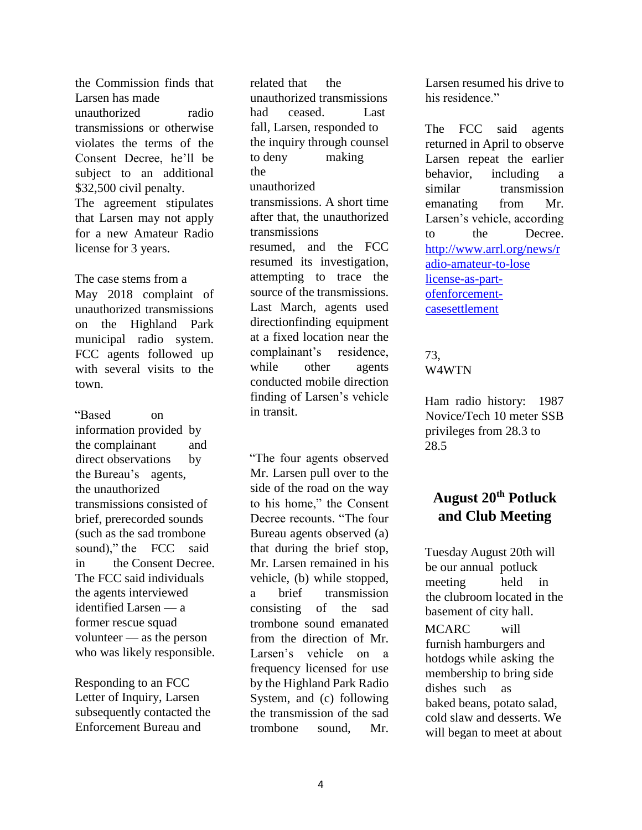the Commission finds that Larsen has made unauthorized radio transmissions or otherwise violates the terms of the Consent Decree, he'll be subject to an additional \$32,500 civil penalty. The agreement stipulates that Larsen may not apply for a new Amateur Radio license for 3 years.

The case stems from a May 2018 complaint of unauthorized transmissions on the Highland Park municipal radio system. FCC agents followed up with several visits to the town.

"Based on information provided by the complainant and direct observations by the Bureau's agents, the unauthorized transmissions consisted of brief, prerecorded sounds (such as the sad trombone sound)," the FCC said in the Consent Decree. The FCC said individuals the agents interviewed identified Larsen — a former rescue squad volunteer — as the person who was likely responsible.

Responding to an FCC Letter of Inquiry, Larsen subsequently contacted the Enforcement Bureau and

related that the unauthorized transmissions had ceased. Last fall, Larsen, responded to the inquiry through counsel to deny making the unauthorized transmissions. A short time after that, the unauthorized transmissions resumed, and the FCC resumed its investigation, attempting to trace the source of the transmissions. Last March, agents used directionfinding equipment at a fixed location near the complainant's residence, while other agents conducted mobile direction finding of Larsen's vehicle in transit.

"The four agents observed Mr. Larsen pull over to the side of the road on the way to his home," the Consent Decree recounts. "The four Bureau agents observed (a) that during the brief stop, Mr. Larsen remained in his vehicle, (b) while stopped, a brief transmission consisting of the sad trombone sound emanated from the direction of Mr. Larsen's vehicle on a frequency licensed for use by the Highland Park Radio System, and (c) following the transmission of the sad trombone sound, Mr.

Larsen resumed his drive to his residence."

The FCC said agents returned in April to observe Larsen repeat the earlier behavior, including a similar transmission emanating from Mr. Larsen's vehicle, according to the Decree. http://www.arrl.org/news/r adio-amateur-to-lose license-as-partofenforcementcasesettlement

#### 73, W4WTN

Ham radio history: 1987 Novice/Tech 10 meter SSB privileges from 28.3 to 28.5

# **August 20th Potluck and Club Meeting**

Tuesday August 20th will be our annual potluck meeting held in the clubroom located in the basement of city hall.

MCARC will furnish hamburgers and hotdogs while asking the membership to bring side dishes such as baked beans, potato salad, cold slaw and desserts. We will began to meet at about